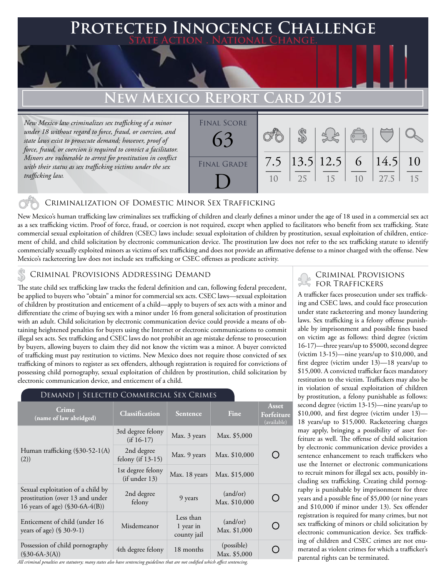# **PTED INNOCENCE CHALLENGE State Action . National Change.**

## **EW MEXICO REPORT CARD 2015**

*New Mexico law criminalizes sex trafficking of a minor under 18 without regard to force, fraud, or coercion, and state laws exist to prosecute demand; however, proof of force, fraud, or coercion is required to convict a facilitator. Minors are vulnerable to arrest for prostitution in conflict with their status as sex trafficking victims under the sex trafficking law.*

| <b>FINAL SCORE</b> |     |    |                        | $\sqrt{2}$     |                     |    |
|--------------------|-----|----|------------------------|----------------|---------------------|----|
| FINAL GRADE        | 7.5 | 25 | $ 13.5 12.5 $ 6<br>-15 | 1 <sub>0</sub> | $ 14.5 $ 10<br>27.5 | 15 |

## Criminalization of Domestic Minor Sex Trafficking

New Mexico's human trafficking law criminalizes sex trafficking of children and clearly defines a minor under the age of 18 used in a commercial sex act as a sex trafficking victim. Proof of force, fraud, or coercion is not required, except when applied to facilitators who benefit from sex trafficking. State commercial sexual exploitation of children (CSEC) laws include: sexual exploitation of children by prostitution, sexual exploitation of children, enticement of child, and child solicitation by electronic communication device. The prostitution law does not refer to the sex trafficking statute to identify commercially sexually exploited minors as victims of sex trafficking and does not provide an affirmative defense to a minor charged with the offense. New Mexico's racketeering law does not include sex trafficking or CSEC offenses as predicate activity.

## Criminal Provisions Addressing Demand

The state child sex trafficking law tracks the federal definition and can, following federal precedent, be applied to buyers who "obtain" a minor for commercial sex acts. CSEC laws—sexual exploitation of children by prostitution and enticement of a child—apply to buyers of sex acts with a minor and differentiate the crime of buying sex with a minor under 16 from general solicitation of prostitution with an adult. Child solicitation by electronic communication device could provide a means of obtaining heightened penalties for buyers using the Internet or electronic communications to commit illegal sex acts. Sex trafficking and CSEC laws do not prohibit an age mistake defense to prosecution by buyers, allowing buyers to claim they did not know the victim was a minor. A buyer convicted of trafficking must pay restitution to victims. New Mexico does not require those convicted of sex trafficking of minors to register as sex offenders, although registration is required for convictions of possessing child pornography, sexual exploitation of children by prostitution, child solicitation by electronic communication device, and enticement of a child.

| DEMAND   SELECTED COMMERCIAL SEX CRIMES                                                                 |                                    |                                       |                            |                                    |  |
|---------------------------------------------------------------------------------------------------------|------------------------------------|---------------------------------------|----------------------------|------------------------------------|--|
| Crime<br>(name of law abridged)                                                                         | <b>Classification</b>              | <b>Sentence</b>                       | Fine                       | Asset<br>Forfeiture<br>(available) |  |
|                                                                                                         | 3rd degree felony<br>$(if 16-17)$  | Max. 3 years                          | Max. \$5,000               |                                    |  |
| Human trafficking (§30-52-1(A)<br>(2))                                                                  | 2nd degree<br>felony (if 13-15)    | Max. 9 years                          | Max. \$10,000              |                                    |  |
|                                                                                                         | 1st degree felony<br>(if under 13) | Max. 18 years                         | Max. \$15,000              |                                    |  |
| Sexual exploitation of a child by<br>prostitution (over 13 and under<br>16 years of age) (\$30-6A-4(B)) | 2nd degree<br>felony               | 9 years                               | (and/or)<br>Max. \$10,000  |                                    |  |
| Enticement of child (under 16<br>years of age) $(\$ 30-9-1)$                                            | Misdemeanor                        | Less than<br>1 year in<br>county jail | (and/or)<br>Max. \$1,000   |                                    |  |
| Possession of child pornography<br>$(S30-6A-3(A))$                                                      | 4th degree felony                  | 18 months                             | (possible)<br>Max. \$5,000 |                                    |  |

#### *All criminal penalties are statutory; many states also have sentencing guidelines that are not codified which affect sentencing.*

# Criminal Provisions

A trafficker faces prosecution under sex trafficking and CSEC laws, and could face prosecution under state racketeering and money laundering laws. Sex trafficking is a felony offense punishable by imprisonment and possible fines based on victim age as follows: third degree (victim 16-17)—three years/up to \$5000, second degree (victim 13-15)—nine years/up to \$10,000, and first degree (victim under 13)—18 years/up to \$15,000. A convicted trafficker faces mandatory restitution to the victim. Traffickers may also be in violation of sexual exploitation of children by prostitution, a felony punishable as follows: second degree (victim 13-15)—nine years/up to \$10,000, and first degree (victim under 13)— 18 years/up to \$15,000. Racketeering charges may apply, bringing a possibility of asset forfeiture as well. The offense of child solicitation by electronic communication device provides a sentence enhancement to reach traffickers who use the Internet or electronic communications to recruit minors for illegal sex acts, possibly including sex trafficking. Creating child pornography is punishable by imprisonment for three years and a possible fine of \$5,000 (or nine years and \$10,000 if minor under 13). Sex offender registration is required for many crimes, but not sex trafficking of minors or child solicitation by electronic communication device. Sex trafficking of children and CSEC crimes are not enumerated as violent crimes for which a trafficker's parental rights can be terminated.